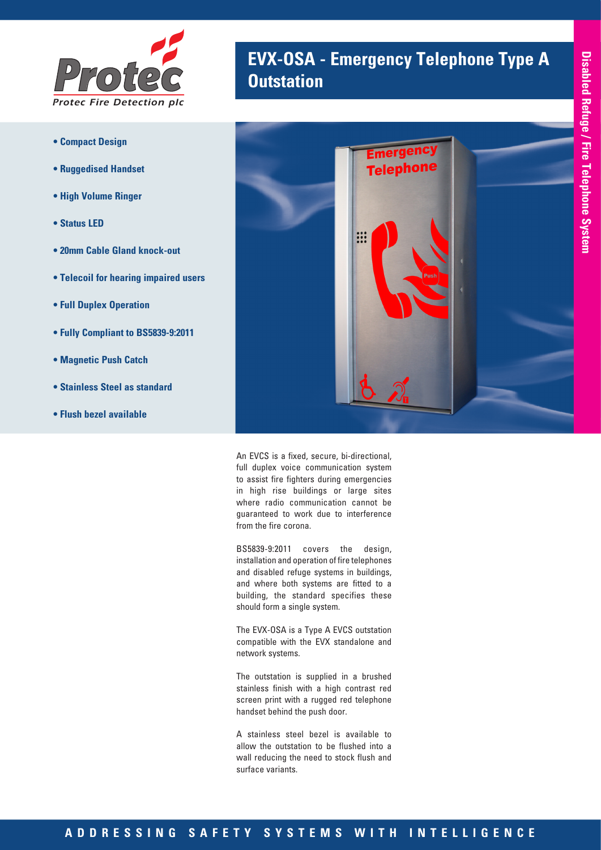

- **Compact Design**
- **Ruggedised Handset**
- **High Volume Ringer**
- **Status LED**
- **20mm Cable Gland knock-out**
- **Telecoil for hearing impaired users**
- **Full Duplex Operation**
- **Fully Compliant to BS5839-9:2011**
- **Magnetic Push Catch**
- **Stainless Steel as standard**
- **Flush bezel available**





An EVCS is a fixed, secure, bi-directional, full duplex voice communication system to assist fire fighters during emergencies in high rise buildings or large sites where radio communication cannot be guaranteed to work due to interference from the fire corona.

BS5839-9:2011 covers the design, installation and operation of fire telephones and disabled refuge systems in buildings, and where both systems are fitted to a building, the standard specifies these should form a single system.

The EVX-OSA is a Type A EVCS outstation compatible with the EVX standalone and network systems.

The outstation is supplied in a brushed stainless finish with a high contrast red screen print with a rugged red telephone handset behind the push door.

A stainless steel bezel is available to allow the outstation to be flushed into a wall reducing the need to stock flush and surface variants.